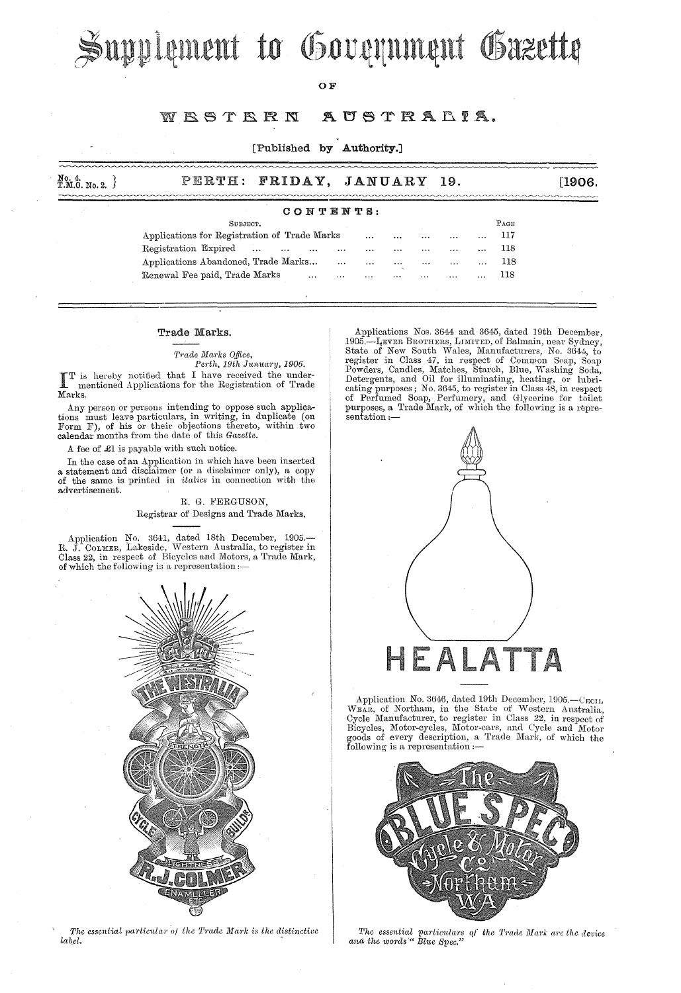# Supplement to Government Gazette

OF

#### WRSTRRN AUSTRALIA.

### [Published by Authority.]

| No. 4.<br>T.M.Ö. No. 2. } |  | PERTH: FRIDAY, JANUARY 19. | [1906.] |
|---------------------------|--|----------------------------|---------|
|                           |  |                            |         |

#### CONTENTS:

| SUBJECT.                                     |  |  |          |          |          |          |          | PAGE          |          |     |  |
|----------------------------------------------|--|--|----------|----------|----------|----------|----------|---------------|----------|-----|--|
| Applications for Registration of Trade Marks |  |  |          |          | $\cdots$ |          | 1.11     | $\ddotsc$     | .        | 117 |  |
| Registration Expired                         |  |  | $\cdots$ | $\cdots$ | $\cdots$ | $\cdots$ | $\cdots$ | $\cdots$      |          | 118 |  |
| Applications Abandoned, Trade Marks          |  |  |          | $\cdots$ | $\cdots$ | $\cdots$ | $\cdots$ | $\sim$ $\sim$ | $\cdots$ | 118 |  |
| Renewal Fee paid, Trade Marks                |  |  | $\cdots$ | $\cdots$ | $\cdots$ | $\cdots$ | $\cdots$ | $\cdots$      | $\cdots$ | 118 |  |

#### Trade Marks.

#### $Trade$  *Marks Office*,

*Perth, 19th Junuary, 1906.*  $\mathbf{T}^\text{T}$  is<br>Marks. T is hereby notified that I have received the undermentioned Applications for the Registration of Trade

Any person or persons intending to oppose such applications must leave particulars, in writing, in duplicate (on Form F), of his or their objections thereto, within two calendar months from the date of this *Gazette.* 

A fee of £1 is payable with such notice.

In the case of an Application in which have been inserted a statement and disclaimer (or a disclaimer only), a copy of the same is printed in *italics* in connection with the advertisement.

> R. G. FERGUSON, Registrar of Designs and Trade Marks.

Application No. 3641, dated 18th December, 1905.—<br>R. J. COLMER, Lakeside, Western Australia, to register in Class 22, in respect of Bicycles and Motors, a Trade Mark, of which the following is a representation :-



The essential particular of the Trade Mark is the distinctive  $label.$ 

Applieations Nos. 3644 and 3645, dated 19th December, 1905.—I<sub>t</sub>ever Brothers, Limited, of Balmain, near Sydney, State of New South Wales, Manufacturers, *No.* 3644, to register in Class 47, in respect of Common Soap, Soap<br>Powders, Candles, Matches, Starch, Blue, Washing Soda,<br>Detergents, and Oil for illuminating, heating, or lubricating purposes; No. 3645, to register in Class 48, in respect of Perfumed Soap, Perfumery, and Glycerine for toilet purposes, a Trade Mark, of which the following is a repre- $\frac{1}{\mathrm{sentation}}$  :-



Application No. 3646, dated 19th December, 1905.-CECIL WEAR, of Northam, in the State of Western Australia, Cycle Manufacturer, to register in Class 22, in respect of Bicycles, Motor-cycles, Motor-cars, and Cycle and Motor goods of every description, a Trade Mark, of which the following is a representation :—



*The essential particulars of the Trade Mark are the device and the words"* Blue Spec."